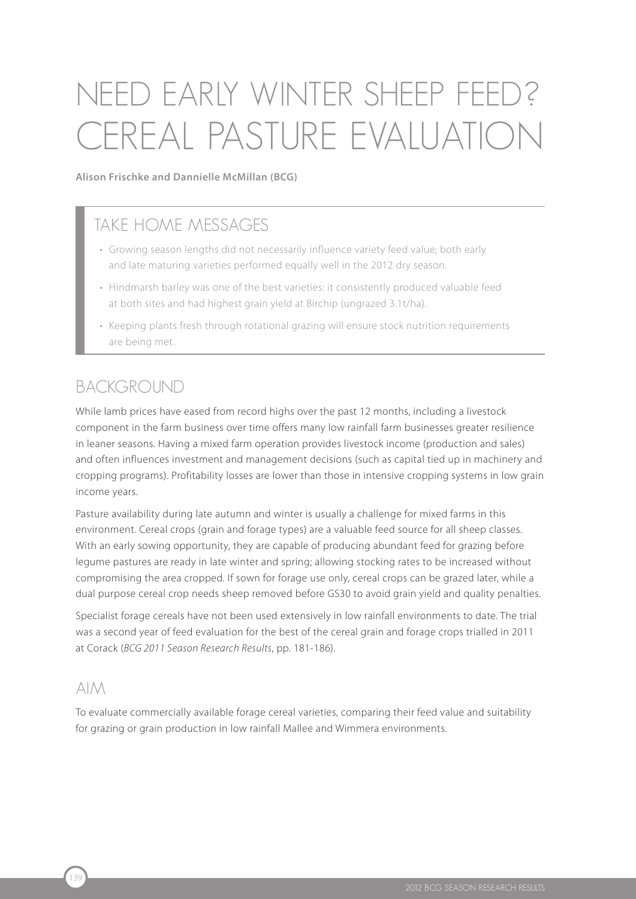# Need early winter sheep feed ? CEREAL PASTURE EVALUATION

**Alison Frischke and Dannielle McMillan (BCG)**

### TAKE HOME MESSAGES

- Growing season lengths did not necessarily influence variety feed value; both early and late maturing varieties performed equally well in the 2012 dry season.
- Hindmarsh barley was one of the best varieties: it consistently produced valuable feed at both sites and had highest grain yield at Birchip (ungrazed 3.1t/ha).
- Keeping plants fresh through rotational grazing will ensure stock nutrition requirements are being met.

#### **BACKGROUND**

While lamb prices have eased from record highs over the past 12 months, including a livestock component in the farm business over time offers many low rainfall farm businesses greater resilience in leaner seasons. Having a mixed farm operation provides livestock income (production and sales) and often influences investment and management decisions (such as capital tied up in machinery and cropping programs). Profitability losses are lower than those in intensive cropping systems in low grain income years.

Pasture availability during late autumn and winter is usually a challenge for mixed farms in this environment. Cereal crops (grain and forage types) are a valuable feed source for all sheep classes. With an early sowing opportunity, they are capable of producing abundant feed for grazing before legume pastures are ready in late winter and spring; allowing stocking rates to be increased without compromising the area cropped. If sown for forage use only, cereal crops can be grazed later, while a dual purpose cereal crop needs sheep removed before GS30 to avoid grain yield and quality penalties.

Specialist forage cereals have not been used extensively in low rainfall environments to date. The trial was a second year of feed evaluation for the best of the cereal grain and forage crops trialled in 2011 at Corack (*BCG 2011 Season Research Results*, pp. 181-186).

#### $AIM$

To evaluate commercially available forage cereal varieties, comparing their feed value and suitability for grazing or grain production in low rainfall Mallee and Wimmera environments.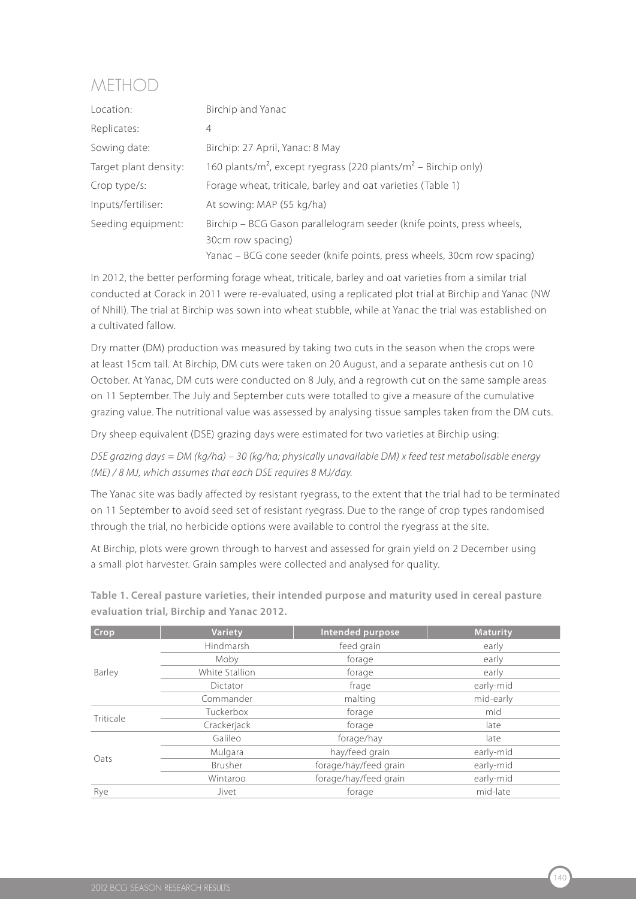## Method

| Location:             | Birchip and Yanac                                                                      |  |  |
|-----------------------|----------------------------------------------------------------------------------------|--|--|
| Replicates:           | $\overline{4}$                                                                         |  |  |
| Sowing date:          | Birchip: 27 April, Yanac: 8 May                                                        |  |  |
| Target plant density: | 160 plants/m <sup>2</sup> , except ryegrass (220 plants/m <sup>2</sup> – Birchip only) |  |  |
| Crop type/s:          | Forage wheat, triticale, barley and oat varieties (Table 1)                            |  |  |
| Inputs/fertiliser:    | At sowing: MAP (55 kg/ha)                                                              |  |  |
| Seeding equipment:    | Birchip – BCG Gason parallelogram seeder (knife points, press wheels,                  |  |  |
|                       | 30cm row spacing)                                                                      |  |  |
|                       | Yanac - BCG cone seeder (knife points, press wheels, 30cm row spacing)                 |  |  |

In 2012, the better performing forage wheat, triticale, barley and oat varieties from a similar trial conducted at Corack in 2011 were re-evaluated, using a replicated plot trial at Birchip and Yanac (NW of Nhill). The trial at Birchip was sown into wheat stubble, while at Yanac the trial was established on a cultivated fallow.

Dry matter (DM) production was measured by taking two cuts in the season when the crops were at least 15cm tall. At Birchip, DM cuts were taken on 20 August, and a separate anthesis cut on 10 October. At Yanac, DM cuts were conducted on 8 July, and a regrowth cut on the same sample areas on 11 September. The July and September cuts were totalled to give a measure of the cumulative grazing value. The nutritional value was assessed by analysing tissue samples taken from the DM cuts.

Dry sheep equivalent (DSE) grazing days were estimated for two varieties at Birchip using:

*DSE grazing days = DM (kg/ha) – 30 (kg/ha; physically unavailable DM) x feed test metabolisable energy (ME) / 8 MJ, which assumes that each DSE requires 8 MJ/day.*

The Yanac site was badly affected by resistant ryegrass, to the extent that the trial had to be terminated on 11 September to avoid seed set of resistant ryegrass. Due to the range of crop types randomised through the trial, no herbicide options were available to control the ryegrass at the site.

At Birchip, plots were grown through to harvest and assessed for grain yield on 2 December using a small plot harvester. Grain samples were collected and analysed for quality.

| <b>Crop</b> | <b>Variety</b> | Intended purpose      | <b>Maturity</b> |  |
|-------------|----------------|-----------------------|-----------------|--|
|             | Hindmarsh      | feed grain            | early           |  |
| Barley      | Moby           | forage                | early           |  |
|             | White Stallion | forage                | early           |  |
|             | Dictator       | frage                 | early-mid       |  |
|             | Commander      | malting               | mid-early       |  |
| Triticale   | Tuckerbox      | forage                | mid             |  |
|             | Crackerjack    | forage                | late            |  |
|             | Galileo        | forage/hay            | late            |  |
| Oats        | Mulgara        | hay/feed grain        | early-mid       |  |
|             | Brusher        | forage/hay/feed grain | early-mid       |  |
|             | Wintaroo       | forage/hay/feed grain | early-mid       |  |
| Rye         | Jivet          | forage                | mid-late        |  |

**Table 1. Cereal pasture varieties, their intended purpose and maturity used in cereal pasture evaluation trial, Birchip and Yanac 2012.**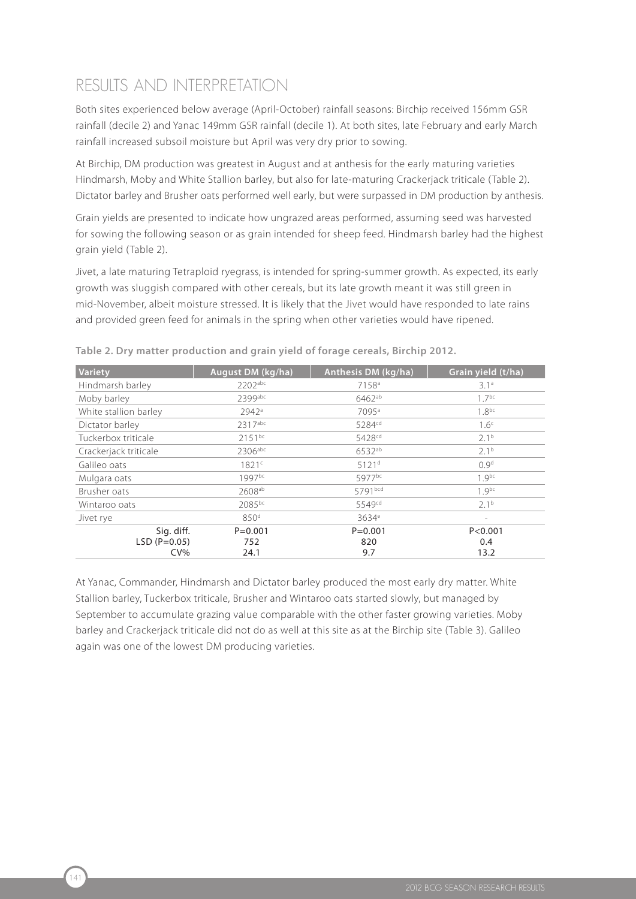## RESULTS AND INTERPRETATION

Both sites experienced below average (April-October) rainfall seasons: Birchip received 156mm GSR rainfall (decile 2) and Yanac 149mm GSR rainfall (decile 1). At both sites, late February and early March rainfall increased subsoil moisture but April was very dry prior to sowing.

At Birchip, DM production was greatest in August and at anthesis for the early maturing varieties Hindmarsh, Moby and White Stallion barley, but also for late-maturing Crackerjack triticale (Table 2). Dictator barley and Brusher oats performed well early, but were surpassed in DM production by anthesis.

Grain yields are presented to indicate how ungrazed areas performed, assuming seed was harvested for sowing the following season or as grain intended for sheep feed. Hindmarsh barley had the highest grain yield (Table 2).

Jivet, a late maturing Tetraploid ryegrass, is intended for spring-summer growth. As expected, its early growth was sluggish compared with other cereals, but its late growth meant it was still green in mid-November, albeit moisture stressed. It is likely that the Jivet would have responded to late rains and provided green feed for animals in the spring when other varieties would have ripened.

| Variety               | August DM (kg/ha)  | Grain yield (t/ha) |                          |  |  |
|-----------------------|--------------------|--------------------|--------------------------|--|--|
| Hindmarsh barley      | 2202abc            | 7158 <sup>a</sup>  | 3.1 <sup>a</sup>         |  |  |
| Moby barley           | 2399abc            | $6462^{ab}$        | $17^{bc}$                |  |  |
| White stallion barley | 2942a              | 7095 <sup>a</sup>  |                          |  |  |
| Dictator barley       | 2317abc            | 5284 <sup>cd</sup> | 1.6 <sup>c</sup>         |  |  |
| Tuckerbox triticale   | $2151^{bc}$        | 5428 <sup>cd</sup> | 2.1 <sup>b</sup>         |  |  |
| Crackerjack triticale | 2306abc            | 6532ab             | 2.1 <sup>b</sup>         |  |  |
| Galileo oats          | 1821 <sup>c</sup>  | 5121 <sup>d</sup>  | 0.9 <sup>d</sup>         |  |  |
| Mulgara oats          | 1997bc             | 5977bc             | $1.9^{bc}$               |  |  |
| Brusher oats          | 2608 <sup>ab</sup> | 5791bcd            | $1.9^{bc}$               |  |  |
| Wintaroo oats         | 2085bc             | 5549 <sup>cd</sup> | 2.1 <sup>b</sup>         |  |  |
| Jivet rye             | 850 <sup>d</sup>   | 3634 <sup>e</sup>  | $\overline{\phantom{a}}$ |  |  |
| Sig. diff.            | $P = 0.001$        | $P = 0.001$        | P < 0.001                |  |  |
| $LSD (P=0.05)$        | 752                | 820                | 0.4                      |  |  |
| $CV\%$                | 24.1               | 9.7                | 13.2                     |  |  |

**Table 2. Dry matter production and grain yield of forage cereals, Birchip 2012.**

At Yanac, Commander, Hindmarsh and Dictator barley produced the most early dry matter. White Stallion barley, Tuckerbox triticale, Brusher and Wintaroo oats started slowly, but managed by September to accumulate grazing value comparable with the other faster growing varieties. Moby barley and Crackerjack triticale did not do as well at this site as at the Birchip site (Table 3). Galileo again was one of the lowest DM producing varieties.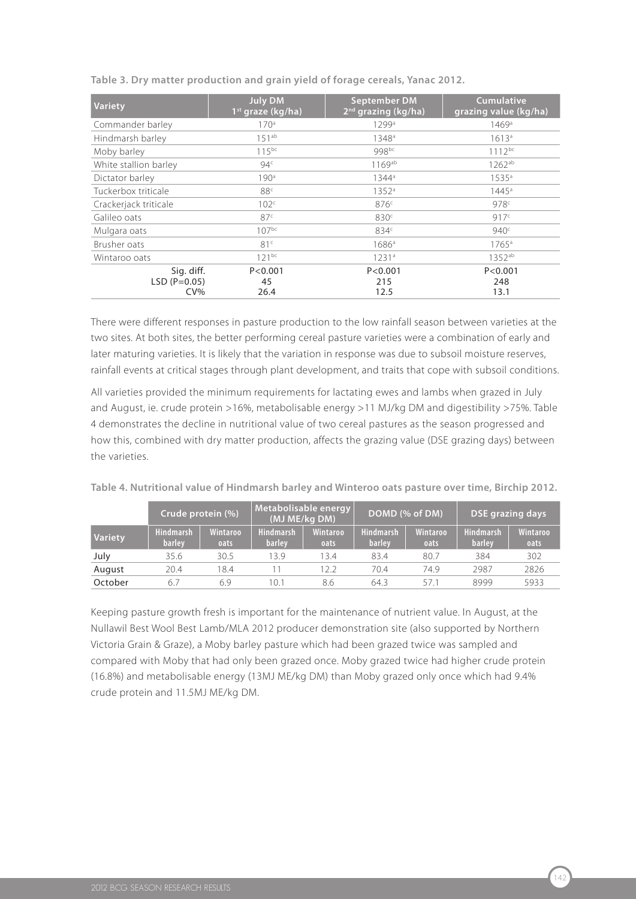| <b>Variety</b>                         | <b>July DM</b><br>1 <sup>st</sup> graze (kg/ha) | <b>September DM</b><br>2 <sup>nd</sup> grazing (kg/ha) | <b>Cumulative</b><br>grazing value (kg/ha) |  |  |
|----------------------------------------|-------------------------------------------------|--------------------------------------------------------|--------------------------------------------|--|--|
| Commander barley                       | 170 <sup>a</sup>                                | 1299 <sup>a</sup>                                      | 1469 <sup>a</sup>                          |  |  |
| Hindmarsh barley                       | $151^{ab}$                                      | 1348 <sup>a</sup>                                      | 1613a                                      |  |  |
| Moby barley                            | $115^{bc}$                                      | gggbc                                                  | $1112^{bc}$                                |  |  |
| White stallion barley                  | 94 <sup>c</sup>                                 | 1169ab                                                 | $1262^{ab}$                                |  |  |
| Dictator barley                        | 190 <sup>a</sup>                                | $1344^a$                                               | $1535^{\circ}$                             |  |  |
| Tuckerbox triticale                    | 88 <sup>c</sup>                                 | 1352 <sup>a</sup>                                      | $1445^{\circ}$                             |  |  |
| Crackerjack triticale                  | 102 <sup>c</sup>                                | 876 <sup>c</sup>                                       | 978c                                       |  |  |
| Galileo oats                           | 87 <sup>c</sup>                                 | 830 <sup>c</sup>                                       | 917c                                       |  |  |
| Mulgara oats                           | $107^{bc}$                                      | 834 <sup>c</sup>                                       | 940 <sup>c</sup>                           |  |  |
| Brusher oats                           | 81 <sup>c</sup>                                 | 1686 <sup>a</sup>                                      | $1765^{\circ}$                             |  |  |
| Wintaroo oats                          | $121^{bc}$                                      | 1231 <sup>a</sup>                                      | $1352^{ab}$                                |  |  |
| Sig. diff.<br>$LSD (P=0.05)$<br>$CV\%$ | P < 0.001<br>45<br>26.4                         | P < 0.001<br>215<br>12.5                               | P < 0.001<br>248<br>13.1                   |  |  |

**Table 3. Dry matter production and grain yield of forage cereals, Yanac 2012.**

There were different responses in pasture production to the low rainfall season between varieties at the two sites. At both sites, the better performing cereal pasture varieties were a combination of early and later maturing varieties. It is likely that the variation in response was due to subsoil moisture reserves, rainfall events at critical stages through plant development, and traits that cope with subsoil conditions.

All varieties provided the minimum requirements for lactating ewes and lambs when grazed in July and August, ie. crude protein >16%, metabolisable energy >11 MJ/kg DM and digestibility >75%. Table 4 demonstrates the decline in nutritional value of two cereal pastures as the season progressed and how this, combined with dry matter production, affects the grazing value (DSE grazing days) between the varieties.

|                | Crude protein (%)          |                  | Metabolisable energy<br>(MJ ME/kg DM) |                         | DOMD (% of DM)      |                  | DSE grazing days           |                         |
|----------------|----------------------------|------------------|---------------------------------------|-------------------------|---------------------|------------------|----------------------------|-------------------------|
| <b>Variety</b> | <b>Hindmarsh</b><br>barlev | Wintaroo<br>oats | <b>Hindmarsh</b><br>barley            | <b>Wintaroo</b><br>oats | Hindmarsh<br>barley | Wintaroo<br>oats | <b>Hindmarsh</b><br>barley | <b>Wintaroo</b><br>oats |
| July           | 35.6                       | 30.5             | 13.9                                  | 13.4                    | 83.4                | 80.7             | 384                        | 302                     |
| August         | 20.4                       | 8.4              |                                       | 12.2                    | 70.4                | 74.9             | 2987                       | 2826                    |
| October        | 6.7                        | 6.9              | 10.1                                  | 8.6                     | 64.3                | 571              | 8999                       | 5933                    |

**Table 4. Nutritional value of Hindmarsh barley and Winteroo oats pasture over time, Birchip 2012.**

Keeping pasture growth fresh is important for the maintenance of nutrient value. In August, at the Nullawil Best Wool Best Lamb/MLA 2012 producer demonstration site (also supported by Northern Victoria Grain & Graze), a Moby barley pasture which had been grazed twice was sampled and compared with Moby that had only been grazed once. Moby grazed twice had higher crude protein (16.8%) and metabolisable energy (13MJ ME/kg DM) than Moby grazed only once which had 9.4% crude protein and 11.5MJ ME/kg DM.